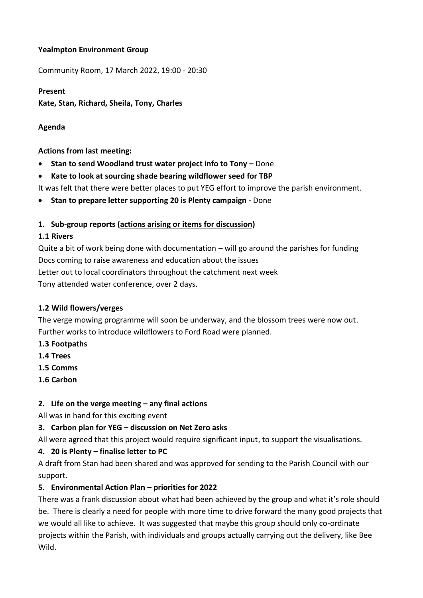### **Yealmpton Environment Group**

Community Room, 17 March 2022, 19:00 - 20:30

# **Present Kate, Stan, Richard, Sheila, Tony, Charles**

### **Agenda**

**Actions from last meeting:**

- **Stan to send Woodland trust water project info to Tony –** Done
- **Kate to look at sourcing shade bearing wildflower seed for TBP**

It was felt that there were better places to put YEG effort to improve the parish environment.

• **Stan to prepare letter supporting 20 is Plenty campaign -** Done

#### **1. Sub-group reports (actions arising or items for discussion)**

#### **1.1 Rivers**

Quite a bit of work being done with documentation – will go around the parishes for funding Docs coming to raise awareness and education about the issues Letter out to local coordinators throughout the catchment next week Tony attended water conference, over 2 days.

#### **1.2 Wild flowers/verges**

The verge mowing programme will soon be underway, and the blossom trees were now out. Further works to introduce wildflowers to Ford Road were planned.

- **1.3 Footpaths**
- **1.4 Trees**
- **1.5 Comms**
- **1.6 Carbon**

# **2. Life on the verge meeting – any final actions**

All was in hand for this exciting event

# **3. Carbon plan for YEG – discussion on Net Zero asks**

All were agreed that this project would require significant input, to support the visualisations.

# **4. 20 is Plenty – finalise letter to PC**

A draft from Stan had been shared and was approved for sending to the Parish Council with our support.

# **5. Environmental Action Plan – priorities for 2022**

There was a frank discussion about what had been achieved by the group and what it's role should be. There is clearly a need for people with more time to drive forward the many good projects that we would all like to achieve. It was suggested that maybe this group should only co-ordinate projects within the Parish, with individuals and groups actually carrying out the delivery, like Bee Wild.